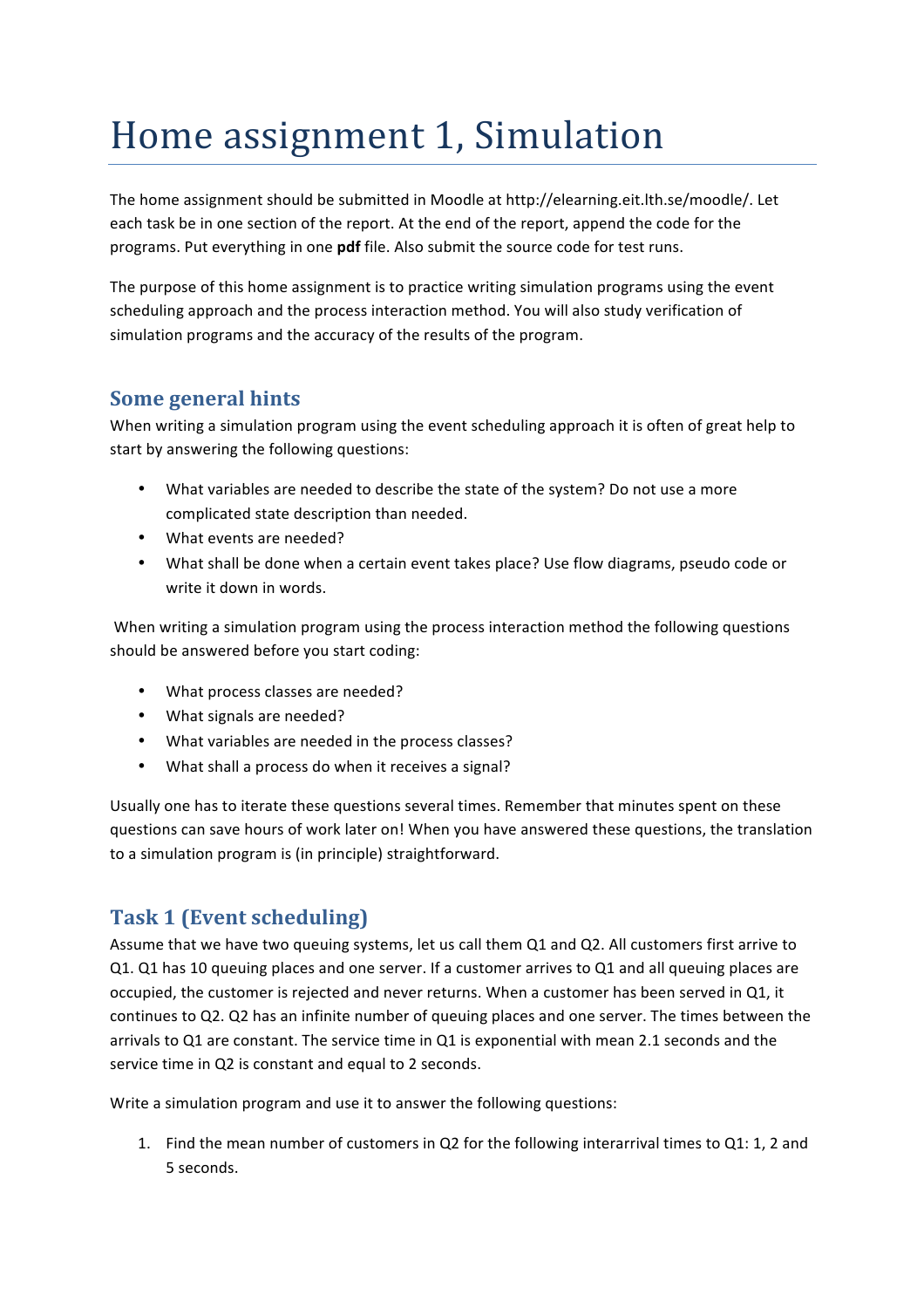# Home assignment 1, Simulation

The home assignment should be submitted in Moodle at http://elearning.eit.lth.se/moodle/. Let each task be in one section of the report. At the end of the report, append the code for the programs. Put everything in one **pdf** file. Also submit the source code for test runs.

The purpose of this home assignment is to practice writing simulation programs using the event scheduling approach and the process interaction method. You will also study verification of simulation programs and the accuracy of the results of the program.

# **Some general hints**

When writing a simulation program using the event scheduling approach it is often of great help to start by answering the following questions:

- What variables are needed to describe the state of the system? Do not use a more complicated state description than needed.
- What events are needed?
- What shall be done when a certain event takes place? Use flow diagrams, pseudo code or write it down in words.

When writing a simulation program using the process interaction method the following questions should be answered before you start coding:

- What process classes are needed?
- What signals are needed?
- What variables are needed in the process classes?
- What shall a process do when it receives a signal?

Usually one has to iterate these questions several times. Remember that minutes spent on these questions can save hours of work later on! When you have answered these questions, the translation to a simulation program is (in principle) straightforward.

# **Task 1 (Event scheduling)**

Assume that we have two queuing systems, let us call them Q1 and Q2. All customers first arrive to Q1. Q1 has 10 queuing places and one server. If a customer arrives to Q1 and all queuing places are occupied, the customer is rejected and never returns. When a customer has been served in Q1, it continues to Q2. Q2 has an infinite number of queuing places and one server. The times between the arrivals to Q1 are constant. The service time in Q1 is exponential with mean 2.1 seconds and the service time in Q2 is constant and equal to 2 seconds.

Write a simulation program and use it to answer the following questions:

1. Find the mean number of customers in Q2 for the following interarrival times to Q1: 1, 2 and 5 seconds.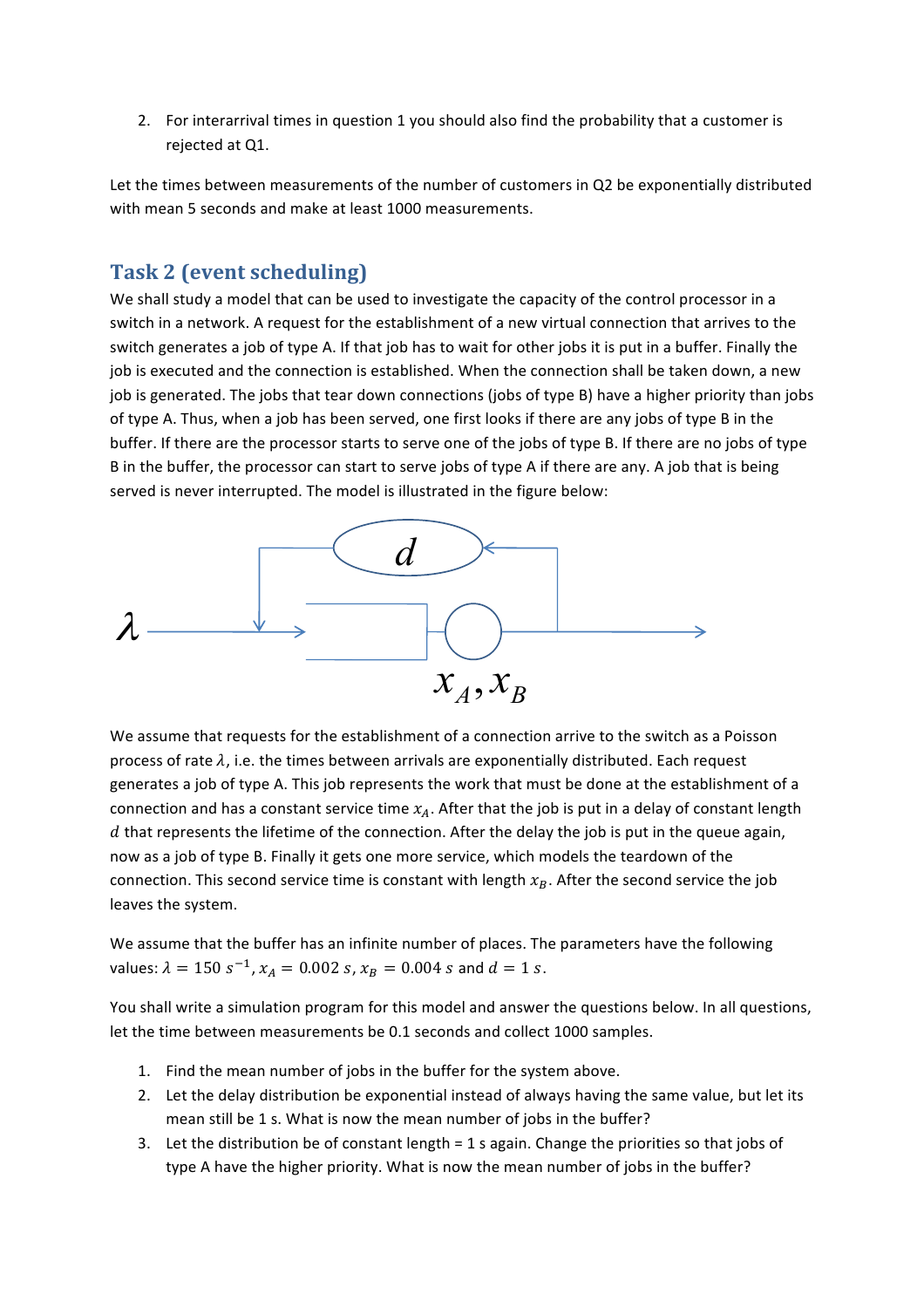2. For interarrival times in question 1 you should also find the probability that a customer is rejected at Q1.

Let the times between measurements of the number of customers in Q2 be exponentially distributed with mean 5 seconds and make at least 1000 measurements.

# **Task 2 (event scheduling)**

We shall study a model that can be used to investigate the capacity of the control processor in a switch in a network. A request for the establishment of a new virtual connection that arrives to the switch generates a job of type A. If that job has to wait for other jobs it is put in a buffer. Finally the job is executed and the connection is established. When the connection shall be taken down, a new job is generated. The jobs that tear down connections (jobs of type B) have a higher priority than jobs of type A. Thus, when a job has been served, one first looks if there are any jobs of type B in the buffer. If there are the processor starts to serve one of the jobs of type B. If there are no jobs of type B in the buffer, the processor can start to serve jobs of type A if there are any. A job that is being served is never interrupted. The model is illustrated in the figure below:



We assume that requests for the establishment of a connection arrive to the switch as a Poisson process of rate  $\lambda$ , i.e. the times between arrivals are exponentially distributed. Each request generates a job of type A. This job represents the work that must be done at the establishment of a connection and has a constant service time  $x_A$ . After that the job is put in a delay of constant length  $d$  that represents the lifetime of the connection. After the delay the job is put in the queue again, now as a job of type B. Finally it gets one more service, which models the teardown of the connection. This second service time is constant with length  $x_B$ . After the second service the job leaves the system.

We assume that the buffer has an infinite number of places. The parameters have the following values:  $\lambda = 150 s^{-1}$ ,  $x_A = 0.002 s$ ,  $x_B = 0.004 s$  and  $d = 1 s$ .

You shall write a simulation program for this model and answer the questions below. In all questions, let the time between measurements be 0.1 seconds and collect 1000 samples.

- 1. Find the mean number of jobs in the buffer for the system above.
- 2. Let the delay distribution be exponential instead of always having the same value, but let its mean still be 1 s. What is now the mean number of jobs in the buffer?
- 3. Let the distribution be of constant length = 1 s again. Change the priorities so that jobs of type A have the higher priority. What is now the mean number of jobs in the buffer?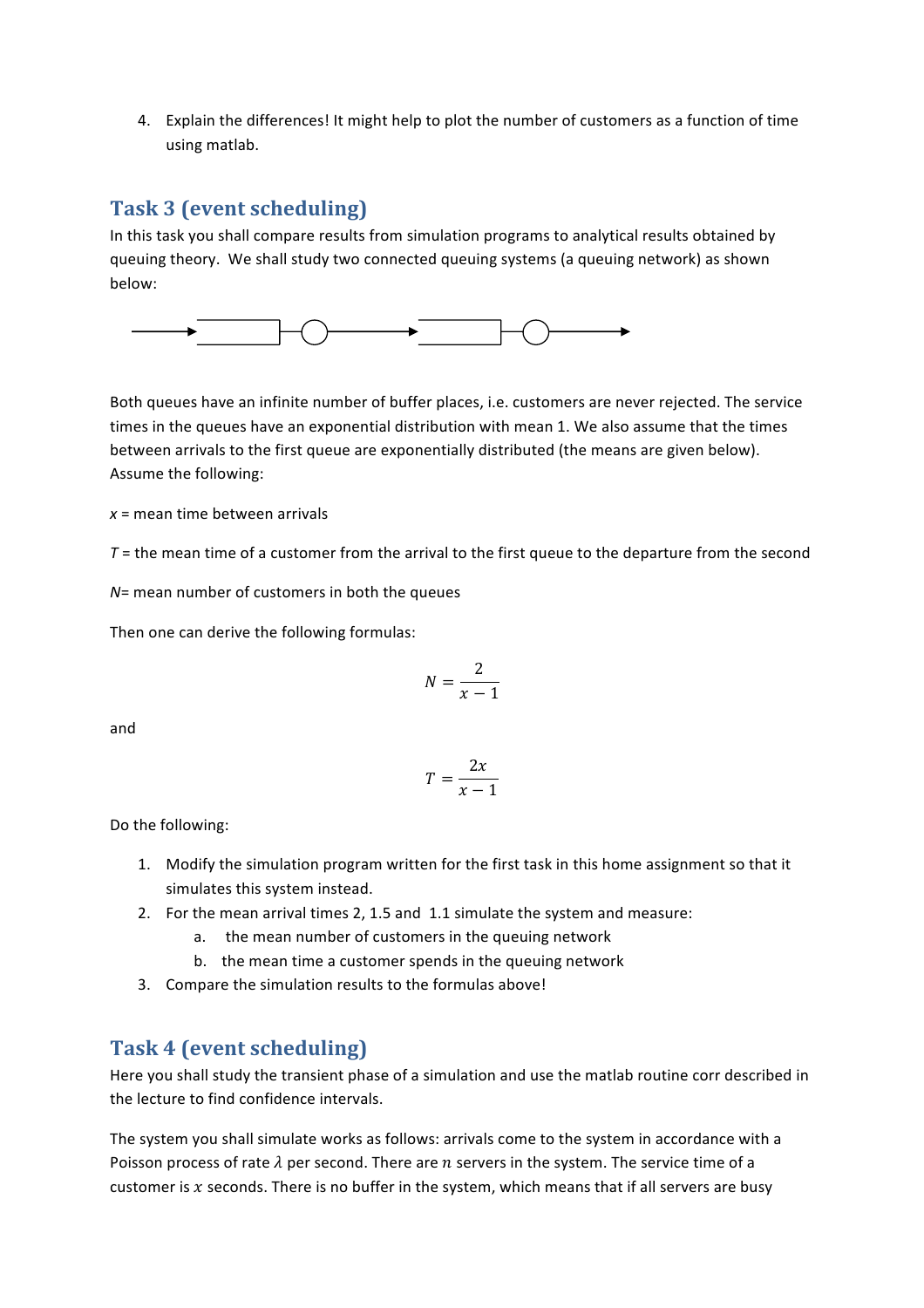4. Explain the differences! It might help to plot the number of customers as a function of time using matlab.

# **Task 3 (event scheduling)**

In this task you shall compare results from simulation programs to analytical results obtained by queuing theory. We shall study two connected queuing systems (a queuing network) as shown below:



Both queues have an infinite number of buffer places, i.e. customers are never rejected. The service times in the queues have an exponential distribution with mean 1. We also assume that the times between arrivals to the first queue are exponentially distributed (the means are given below). Assume the following:

*x* = mean time between arrivals

 $T =$  the mean time of a customer from the arrival to the first queue to the departure from the second

*N*= mean number of customers in both the queues

Then one can derive the following formulas:

$$
N = \frac{2}{x-1}
$$

and

$$
T = \frac{2x}{x - 1}
$$

Do the following:

- 1. Modify the simulation program written for the first task in this home assignment so that it simulates this system instead.
- 2. For the mean arrival times 2, 1.5 and 1.1 simulate the system and measure:
	- a. the mean number of customers in the queuing network
	- b. the mean time a customer spends in the queuing network
- 3. Compare the simulation results to the formulas above!

#### **Task 4 (event scheduling)**

Here you shall study the transient phase of a simulation and use the matlab routine corr described in the lecture to find confidence intervals.

The system you shall simulate works as follows: arrivals come to the system in accordance with a Poisson process of rate  $\lambda$  per second. There are n servers in the system. The service time of a customer is  $x$  seconds. There is no buffer in the system, which means that if all servers are busy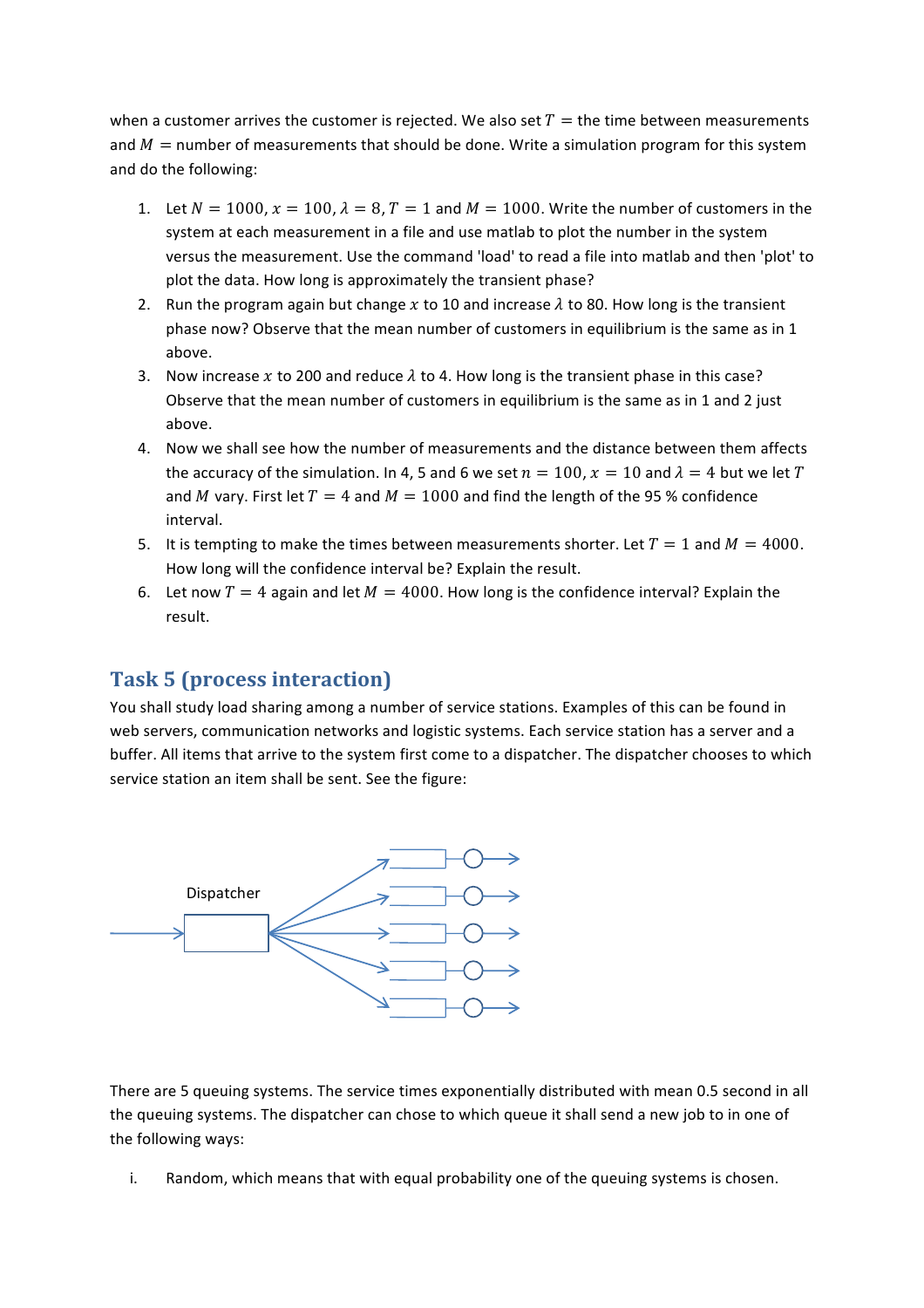when a customer arrives the customer is rejected. We also set  $T =$  the time between measurements and  $M =$  number of measurements that should be done. Write a simulation program for this system and do the following:

- 1. Let  $N = 1000$ ,  $x = 100$ ,  $\lambda = 8$ ,  $T = 1$  and  $M = 1000$ . Write the number of customers in the system at each measurement in a file and use matlab to plot the number in the system versus the measurement. Use the command 'load' to read a file into matlab and then 'plot' to plot the data. How long is approximately the transient phase?
- 2. Run the program again but change x to 10 and increase  $\lambda$  to 80. How long is the transient phase now? Observe that the mean number of customers in equilibrium is the same as in 1 above.
- 3. Now increase x to 200 and reduce  $\lambda$  to 4. How long is the transient phase in this case? Observe that the mean number of customers in equilibrium is the same as in 1 and 2 just above.
- 4. Now we shall see how the number of measurements and the distance between them affects the accuracy of the simulation. In 4, 5 and 6 we set  $n = 100$ ,  $x = 10$  and  $\lambda = 4$  but we let T and M vary. First let  $T = 4$  and  $M = 1000$  and find the length of the 95 % confidence interval.
- 5. It is tempting to make the times between measurements shorter. Let  $T = 1$  and  $M = 4000$ . How long will the confidence interval be? Explain the result.
- 6. Let now  $T = 4$  again and let  $M = 4000$ . How long is the confidence interval? Explain the result.

#### **Task 5 (process interaction)**

You shall study load sharing among a number of service stations. Examples of this can be found in web servers, communication networks and logistic systems. Each service station has a server and a buffer. All items that arrive to the system first come to a dispatcher. The dispatcher chooses to which service station an item shall be sent. See the figure:



There are 5 queuing systems. The service times exponentially distributed with mean 0.5 second in all the queuing systems. The dispatcher can chose to which queue it shall send a new job to in one of the following ways:

i. Random, which means that with equal probability one of the queuing systems is chosen.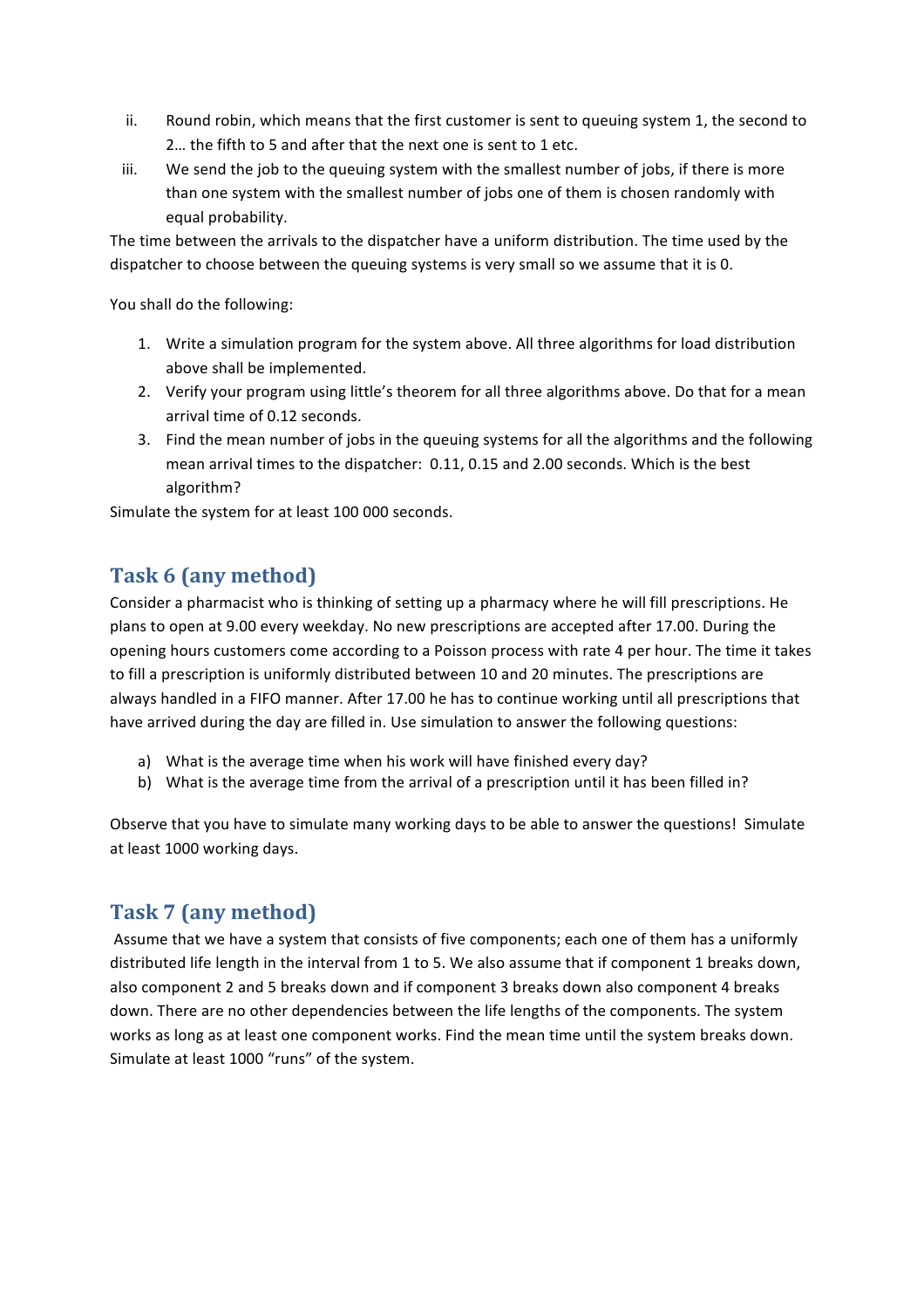- ii. Round robin, which means that the first customer is sent to queuing system 1, the second to 2... the fifth to 5 and after that the next one is sent to 1 etc.
- iii. We send the job to the queuing system with the smallest number of jobs, if there is more than one system with the smallest number of jobs one of them is chosen randomly with equal probability.

The time between the arrivals to the dispatcher have a uniform distribution. The time used by the dispatcher to choose between the queuing systems is very small so we assume that it is 0.

You shall do the following:

- 1. Write a simulation program for the system above. All three algorithms for load distribution above shall be implemented.
- 2. Verify your program using little's theorem for all three algorithms above. Do that for a mean arrival time of 0.12 seconds.
- 3. Find the mean number of jobs in the queuing systems for all the algorithms and the following mean arrival times to the dispatcher: 0.11, 0.15 and 2.00 seconds. Which is the best algorithm?

Simulate the system for at least 100 000 seconds.

#### **Task 6 (any method)**

Consider a pharmacist who is thinking of setting up a pharmacy where he will fill prescriptions. He plans to open at 9.00 every weekday. No new prescriptions are accepted after 17.00. During the opening hours customers come according to a Poisson process with rate 4 per hour. The time it takes to fill a prescription is uniformly distributed between 10 and 20 minutes. The prescriptions are always handled in a FIFO manner. After 17.00 he has to continue working until all prescriptions that have arrived during the day are filled in. Use simulation to answer the following questions:

- a) What is the average time when his work will have finished every day?
- b) What is the average time from the arrival of a prescription until it has been filled in?

Observe that you have to simulate many working days to be able to answer the questions! Simulate at least 1000 working days.

#### **Task 7 (any method)**

Assume that we have a system that consists of five components; each one of them has a uniformly distributed life length in the interval from 1 to 5. We also assume that if component 1 breaks down, also component 2 and 5 breaks down and if component 3 breaks down also component 4 breaks down. There are no other dependencies between the life lengths of the components. The system works as long as at least one component works. Find the mean time until the system breaks down. Simulate at least 1000 "runs" of the system.